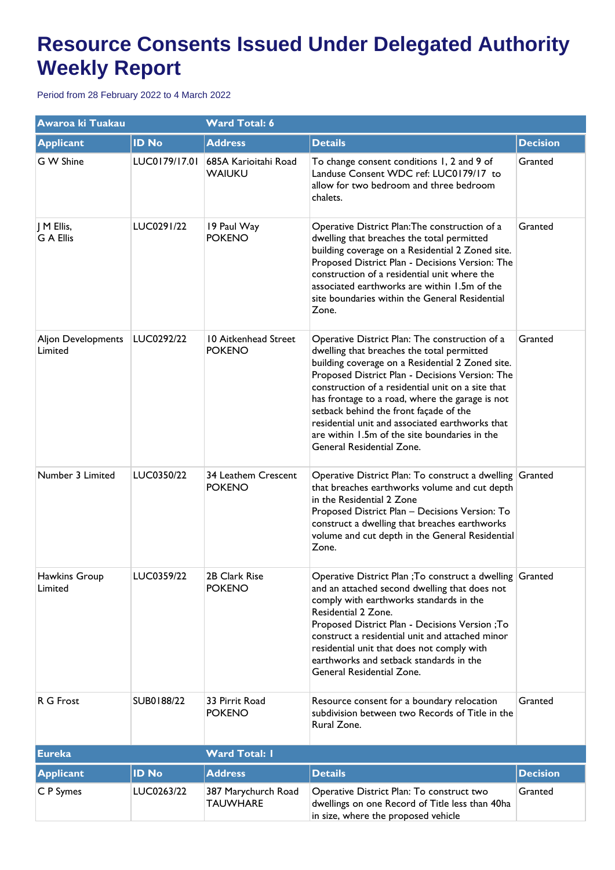| Awaroa ki Tuakau               |               | <b>Ward Total: 6</b>                  |                                                                                                                                                                                                                                                                                                                                                                                                                                                                                        |                 |  |
|--------------------------------|---------------|---------------------------------------|----------------------------------------------------------------------------------------------------------------------------------------------------------------------------------------------------------------------------------------------------------------------------------------------------------------------------------------------------------------------------------------------------------------------------------------------------------------------------------------|-----------------|--|
| <b>Applicant</b>               | <b>ID No</b>  | <b>Address</b>                        | <b>Details</b>                                                                                                                                                                                                                                                                                                                                                                                                                                                                         | <b>Decision</b> |  |
| G W Shine                      | LUC0179/17.01 | 685A Karioitahi Road<br><b>WAIUKU</b> | To change consent conditions 1, 2 and 9 of<br>Landuse Consent WDC ref: LUC0179/17 to<br>allow for two bedroom and three bedroom<br>chalets.                                                                                                                                                                                                                                                                                                                                            | Granted         |  |
| J M Ellis,<br><b>G A Ellis</b> | LUC0291/22    | 19 Paul Way<br><b>POKENO</b>          | Operative District Plan: The construction of a<br>dwelling that breaches the total permitted<br>building coverage on a Residential 2 Zoned site.<br>Proposed District Plan - Decisions Version: The<br>construction of a residential unit where the<br>associated earthworks are within 1.5m of the<br>site boundaries within the General Residential<br>Zone.                                                                                                                         | Granted         |  |
| Aljon Developments<br>Limited  | LUC0292/22    | 10 Aitkenhead Street<br><b>POKENO</b> | Operative District Plan: The construction of a<br>dwelling that breaches the total permitted<br>building coverage on a Residential 2 Zoned site.<br>Proposed District Plan - Decisions Version: The<br>construction of a residential unit on a site that<br>has frontage to a road, where the garage is not<br>setback behind the front façade of the<br>residential unit and associated earthworks that<br>are within 1.5m of the site boundaries in the<br>General Residential Zone. | Granted         |  |
| Number 3 Limited               | LUC0350/22    | 34 Leathem Crescent<br><b>POKENO</b>  | Operative District Plan: To construct a dwelling Granted<br>that breaches earthworks volume and cut depth<br>in the Residential 2 Zone<br>Proposed District Plan - Decisions Version: To<br>construct a dwelling that breaches earthworks<br>volume and cut depth in the General Residential<br>Zone.                                                                                                                                                                                  |                 |  |
| Hawkins Group<br>Limited       | LUC0359/22    | 2B Clark Rise<br><b>POKENO</b>        | Operative District Plan ; To construct a dwelling Granted<br>and an attached second dwelling that does not<br>comply with earthworks standards in the<br>Residential 2 Zone.<br>Proposed District Plan - Decisions Version ; To<br>construct a residential unit and attached minor<br>residential unit that does not comply with<br>earthworks and setback standards in the<br>General Residential Zone.                                                                               |                 |  |
| R G Frost                      | SUB0188/22    | 33 Pirrit Road<br><b>POKENO</b>       | Resource consent for a boundary relocation<br>subdivision between two Records of Title in the<br>Rural Zone.                                                                                                                                                                                                                                                                                                                                                                           | Granted         |  |
| <b>Eureka</b>                  |               | <b>Ward Total: I</b>                  |                                                                                                                                                                                                                                                                                                                                                                                                                                                                                        |                 |  |
| <b>Applicant</b>               | <b>ID No</b>  | <b>Address</b>                        | <b>Details</b>                                                                                                                                                                                                                                                                                                                                                                                                                                                                         | <b>Decision</b> |  |
| C P Symes                      | LUC0263/22    | 387 Marychurch Road<br>TAUWHARE       | Operative District Plan: To construct two<br>dwellings on one Record of Title less than 40ha<br>in size, where the proposed vehicle                                                                                                                                                                                                                                                                                                                                                    | Granted         |  |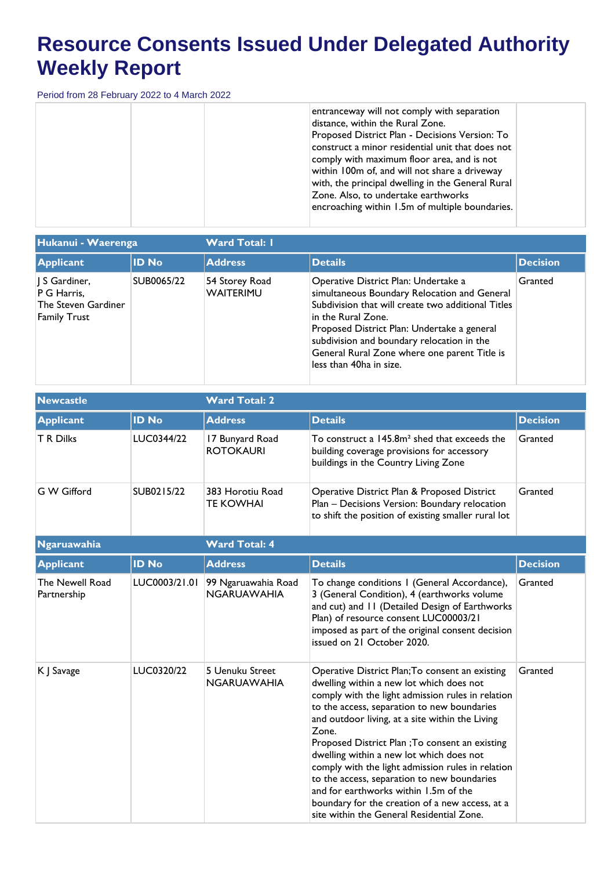| entranceway will not comply with separation<br>distance, within the Rural Zone.<br>Proposed District Plan - Decisions Version: To<br>construct a minor residential unit that does not<br>comply with maximum floor area, and is not<br>within 100m of, and will not share a driveway<br>with, the principal dwelling in the General Rural<br>Zone. Also, to undertake earthworks<br>encroaching within 1.5m of multiple boundaries. |
|-------------------------------------------------------------------------------------------------------------------------------------------------------------------------------------------------------------------------------------------------------------------------------------------------------------------------------------------------------------------------------------------------------------------------------------|
|-------------------------------------------------------------------------------------------------------------------------------------------------------------------------------------------------------------------------------------------------------------------------------------------------------------------------------------------------------------------------------------------------------------------------------------|

| Hukanui - Waerenga                                                       |              | <b>Ward Total: I</b>               |                                                                                                                                                                                                                                                                                                                                          |                 |  |
|--------------------------------------------------------------------------|--------------|------------------------------------|------------------------------------------------------------------------------------------------------------------------------------------------------------------------------------------------------------------------------------------------------------------------------------------------------------------------------------------|-----------------|--|
| <b>Applicant</b>                                                         | <b>ID No</b> | <b>Address</b>                     | <b>Details</b>                                                                                                                                                                                                                                                                                                                           | <b>Decision</b> |  |
| S Gardiner,<br>P G Harris,<br>The Steven Gardiner<br><b>Family Trust</b> | SUB0065/22   | 54 Storey Road<br><b>WAITERIMU</b> | Operative District Plan: Undertake a<br>simultaneous Boundary Relocation and General<br>Subdivision that will create two additional Titles<br>in the Rural Zone.<br>Proposed District Plan: Undertake a general<br>subdivision and boundary relocation in the<br>General Rural Zone where one parent Title is<br>less than 40ha in size. | Granted         |  |

| <b>Newcastle</b>               |               | <b>Ward Total: 2</b>                      |                                                                                                                                                                                                                                                                                                                                                                                                                                                                                                                                                                                                         |                 |  |
|--------------------------------|---------------|-------------------------------------------|---------------------------------------------------------------------------------------------------------------------------------------------------------------------------------------------------------------------------------------------------------------------------------------------------------------------------------------------------------------------------------------------------------------------------------------------------------------------------------------------------------------------------------------------------------------------------------------------------------|-----------------|--|
| <b>Applicant</b>               | <b>ID No</b>  | <b>Address</b>                            | <b>Details</b>                                                                                                                                                                                                                                                                                                                                                                                                                                                                                                                                                                                          | <b>Decision</b> |  |
| <b>T R Dilks</b>               | LUC0344/22    | 17 Bunyard Road<br><b>ROTOKAURI</b>       | To construct a 145.8m <sup>2</sup> shed that exceeds the<br>building coverage provisions for accessory<br>buildings in the Country Living Zone                                                                                                                                                                                                                                                                                                                                                                                                                                                          | Granted         |  |
| G W Gifford                    | SUB0215/22    | 383 Horotiu Road<br><b>TE KOWHAI</b>      | Operative District Plan & Proposed District<br>Plan - Decisions Version: Boundary relocation<br>to shift the position of existing smaller rural lot                                                                                                                                                                                                                                                                                                                                                                                                                                                     | Granted         |  |
| <b>Ngaruawahia</b>             |               | <b>Ward Total: 4</b>                      |                                                                                                                                                                                                                                                                                                                                                                                                                                                                                                                                                                                                         |                 |  |
| <b>Applicant</b>               | <b>ID No</b>  | <b>Address</b>                            | <b>Details</b>                                                                                                                                                                                                                                                                                                                                                                                                                                                                                                                                                                                          | <b>Decision</b> |  |
| The Newell Road<br>Partnership | LUC0003/21.01 | 99 Ngaruawahia Road<br><b>NGARUAWAHIA</b> | To change conditions I (General Accordance),<br>3 (General Condition), 4 (earthworks volume<br>and cut) and 11 (Detailed Design of Earthworks<br>Plan) of resource consent LUC00003/21<br>imposed as part of the original consent decision<br>issued on 21 October 2020.                                                                                                                                                                                                                                                                                                                                | Granted         |  |
| K J Savage                     | LUC0320/22    | 5 Uenuku Street<br><b>NGARUAWAHIA</b>     | Operative District Plan; To consent an existing<br>dwelling within a new lot which does not<br>comply with the light admission rules in relation<br>to the access, separation to new boundaries<br>and outdoor living, at a site within the Living<br>Zone.<br>Proposed District Plan ; To consent an existing<br>dwelling within a new lot which does not<br>comply with the light admission rules in relation<br>to the access, separation to new boundaries<br>and for earthworks within 1.5m of the<br>boundary for the creation of a new access, at a<br>site within the General Residential Zone. | Granted         |  |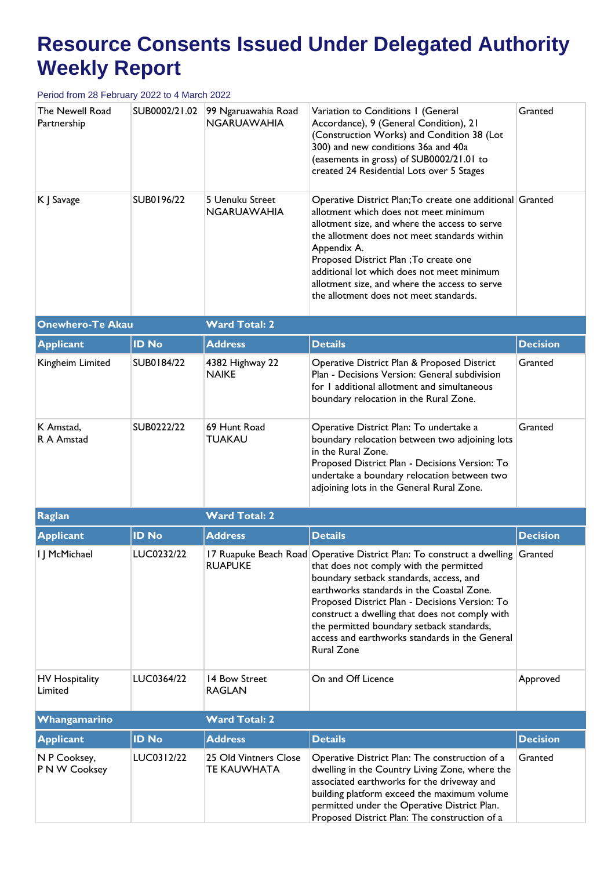| The Newell Road<br>Partnership   | SUB0002/21.02 | 99 Ngaruawahia Road<br><b>NGARUAWAHIA</b>   | Variation to Conditions I (General<br>Accordance), 9 (General Condition), 21<br>(Construction Works) and Condition 38 (Lot<br>300) and new conditions 36a and 40a<br>(easements in gross) of SUB0002/21.01 to<br>created 24 Residential Lots over 5 Stages                                                                                                                                                                                          | Granted         |  |  |
|----------------------------------|---------------|---------------------------------------------|-----------------------------------------------------------------------------------------------------------------------------------------------------------------------------------------------------------------------------------------------------------------------------------------------------------------------------------------------------------------------------------------------------------------------------------------------------|-----------------|--|--|
| K J Savage                       | SUB0196/22    | 5 Uenuku Street<br>NGARUAWAHIA              | Operative District Plan; To create one additional Granted<br>allotment which does not meet minimum<br>allotment size, and where the access to serve<br>the allotment does not meet standards within<br>Appendix A.<br>Proposed District Plan ; To create one<br>additional lot which does not meet minimum<br>allotment size, and where the access to serve<br>the allotment does not meet standards.                                               |                 |  |  |
| <b>Onewhero-Te Akau</b>          |               | <b>Ward Total: 2</b>                        |                                                                                                                                                                                                                                                                                                                                                                                                                                                     |                 |  |  |
| <b>Applicant</b>                 | <b>ID No</b>  | <b>Address</b>                              | <b>Details</b>                                                                                                                                                                                                                                                                                                                                                                                                                                      | <b>Decision</b> |  |  |
| Kingheim Limited                 | SUB0184/22    | 4382 Highway 22<br><b>NAIKE</b>             | Operative District Plan & Proposed District<br>Plan - Decisions Version: General subdivision<br>for I additional allotment and simultaneous<br>boundary relocation in the Rural Zone.                                                                                                                                                                                                                                                               | Granted         |  |  |
| K Amstad,<br>R A Amstad          | SUB0222/22    | 69 Hunt Road<br><b>TUAKAU</b>               | Operative District Plan: To undertake a<br>boundary relocation between two adjoining lots<br>in the Rural Zone.<br>Proposed District Plan - Decisions Version: To<br>undertake a boundary relocation between two<br>adjoining lots in the General Rural Zone.                                                                                                                                                                                       | Granted         |  |  |
| Raglan                           |               | <b>Ward Total: 2</b>                        |                                                                                                                                                                                                                                                                                                                                                                                                                                                     |                 |  |  |
| <b>Applicant</b>                 | <b>ID No</b>  | <b>Address</b>                              | <b>Details</b>                                                                                                                                                                                                                                                                                                                                                                                                                                      | <b>Decision</b> |  |  |
| I J McMichael                    | LUC0232/22    |                                             | 17 Ruapuke Beach Road Operative District Plan: To construct a dwelling Granted<br>RUAPUKE   that does not comply with the permitted<br>boundary setback standards, access, and<br>earthworks standards in the Coastal Zone.<br>Proposed District Plan - Decisions Version: To<br>construct a dwelling that does not comply with<br>the permitted boundary setback standards,<br>access and earthworks standards in the General<br><b>Rural Zone</b> |                 |  |  |
| <b>HV Hospitality</b><br>Limited | LUC0364/22    | 14 Bow Street<br><b>RAGLAN</b>              | On and Off Licence                                                                                                                                                                                                                                                                                                                                                                                                                                  | Approved        |  |  |
| Whangamarino                     |               | <b>Ward Total: 2</b>                        |                                                                                                                                                                                                                                                                                                                                                                                                                                                     |                 |  |  |
| <b>Applicant</b>                 | <b>ID No</b>  | <b>Address</b>                              | <b>Details</b>                                                                                                                                                                                                                                                                                                                                                                                                                                      | <b>Decision</b> |  |  |
| N P Cooksey,<br>P N W Cooksey    | LUC0312/22    | 25 Old Vintners Close<br><b>TE KAUWHATA</b> | Operative District Plan: The construction of a<br>dwelling in the Country Living Zone, where the<br>associated earthworks for the driveway and<br>building platform exceed the maximum volume<br>permitted under the Operative District Plan.<br>Proposed District Plan: The construction of a                                                                                                                                                      | Granted         |  |  |